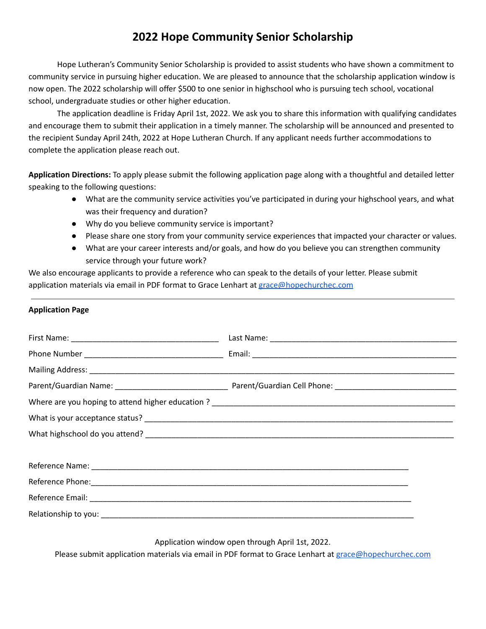## **2022 Hope Community Senior Scholarship**

Hope Lutheran's Community Senior Scholarship is provided to assist students who have shown a commitment to community service in pursuing higher education. We are pleased to announce that the scholarship application window is now open. The 2022 scholarship will offer \$500 to one senior in highschool who is pursuing tech school, vocational school, undergraduate studies or other higher education.

The application deadline is Friday April 1st, 2022. We ask you to share this information with qualifying candidates and encourage them to submit their application in a timely manner. The scholarship will be announced and presented to the recipient Sunday April 24th, 2022 at Hope Lutheran Church. If any applicant needs further accommodations to complete the application please reach out.

**Application Directions:** To apply please submit the following application page along with a thoughtful and detailed letter speaking to the following questions:

- What are the community service activities you've participated in during your highschool years, and what was their frequency and duration?
- Why do you believe community service is important?
- Please share one story from your community service experiences that impacted your character or values.
- What are your career interests and/or goals, and how do you believe you can strengthen community service through your future work?

We also encourage applicants to provide a reference who can speak to the details of your letter. Please submit application materials via email in PDF format to Grace Lenhart at [grace@hopechurchec.com](mailto:grace@hopechurchec.com)

## **Application Page**

Application window open through April 1st, 2022.

Please submit application materials via email in PDF format to Grace Lenhart at [grace@hopechurchec.com](mailto:grace@hopechurchec.com)